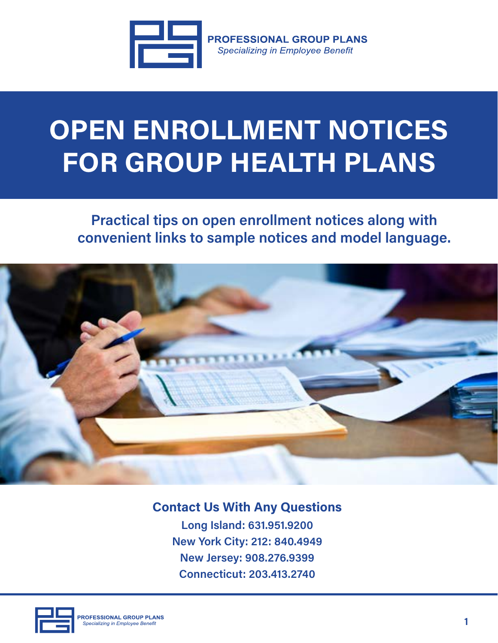

**PROFESSIONAL GROUP PLANS Specializing in Employee Benefit** 

## **OPEN ENROLLMENT NOTICES FOR GROUP HEALTH PLANS**

**Practical tips on open enrollment notices along with convenient links to sample notices and model language.**



**Contact Us With Any Questions Long Island: 631.951.9200 New York City: 212: 840.4949 New Jersey: 908.276.9399 Connecticut: 203.413.2740**

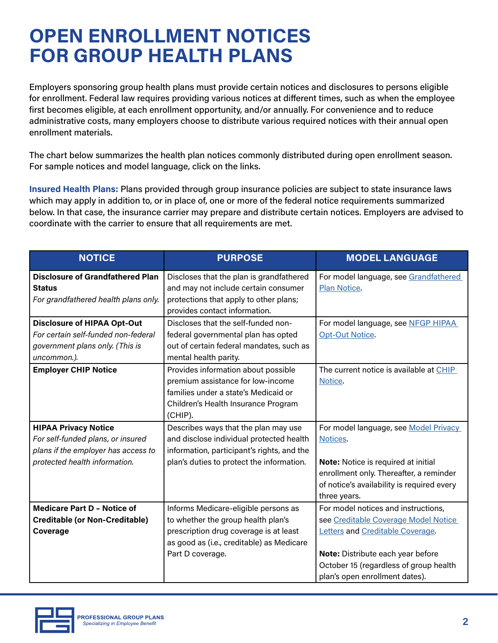## **OPEN ENROLLMENT NOTICES FOR GROUP HEALTH PLANS**

Employers sponsoring group health plans must provide certain notices and disclosures to persons eligible for enrollment. Federal law requires providing various notices at different times, such as when the employee first becomes eligible, at each enrollment opportunity, and/or annually. For convenience and to reduce administrative costs, many employers choose to distribute various required notices with their annual open enrollment materials.

The chart below summarizes the health plan notices commonly distributed during open enrollment season. For sample notices and model language, click on the links.

**Insured Health Plans:** Plans provided through group insurance policies are subject to state insurance laws which may apply in addition to, or in place of, one or more of the federal notice requirements summarized below. In that case, the insurance carrier may prepare and distribute certain notices. Employers are advised to coordinate with the carrier to ensure that all requirements are met.

| <b>NOTICE</b>                                            | <b>PURPOSE</b>                                                                   | <b>MODEL LANGUAGE</b>                                        |
|----------------------------------------------------------|----------------------------------------------------------------------------------|--------------------------------------------------------------|
| <b>Disclosure of Grandfathered Plan</b><br><b>Status</b> | Discloses that the plan is grandfathered<br>and may not include certain consumer | For model language, see Grandfathered<br><b>Plan Notice.</b> |
| For grandfathered health plans only.                     | protections that apply to other plans;<br>provides contact information.          |                                                              |
| <b>Disclosure of HIPAA Opt-Out</b>                       | Discloses that the self-funded non-                                              | For model language, see NFGP HIPAA                           |
| For certain self-funded non-federal                      | federal governmental plan has opted                                              | <b>Opt-Out Notice.</b>                                       |
| government plans only. (This is                          | out of certain federal mandates, such as                                         |                                                              |
| uncommon.).                                              | mental health parity.                                                            |                                                              |
| <b>Employer CHIP Notice</b>                              | Provides information about possible                                              | The current notice is available at CHIP                      |
|                                                          | premium assistance for low-income                                                | Notice.                                                      |
|                                                          | families under a state's Medicaid or                                             |                                                              |
|                                                          | Children's Health Insurance Program                                              |                                                              |
|                                                          | (CHIP).                                                                          |                                                              |
| <b>HIPAA Privacy Notice</b>                              | Describes ways that the plan may use                                             | For model language, see Model Privacy                        |
| For self-funded plans, or insured                        | and disclose individual protected health                                         | Notices.                                                     |
| plans if the employer has access to                      | information, participant's rights, and the                                       |                                                              |
| protected health information.                            | plan's duties to protect the information.                                        | Note: Notice is required at initial                          |
|                                                          |                                                                                  | enrollment only. Thereafter, a reminder                      |
|                                                          |                                                                                  | of notice's availability is required every                   |
|                                                          |                                                                                  | three years.                                                 |
| <b>Medicare Part D - Notice of</b>                       | Informs Medicare-eligible persons as                                             | For model notices and instructions,                          |
| <b>Creditable (or Non-Creditable)</b>                    | to whether the group health plan's                                               | see Creditable Coverage Model Notice                         |
| Coverage                                                 | prescription drug coverage is at least                                           | Letters and Creditable Coverage.                             |
|                                                          | as good as (i.e., creditable) as Medicare                                        |                                                              |
|                                                          | Part D coverage.                                                                 | Note: Distribute each year before                            |
|                                                          |                                                                                  | October 15 (regardless of group health                       |
|                                                          |                                                                                  | plan's open enrollment dates).                               |